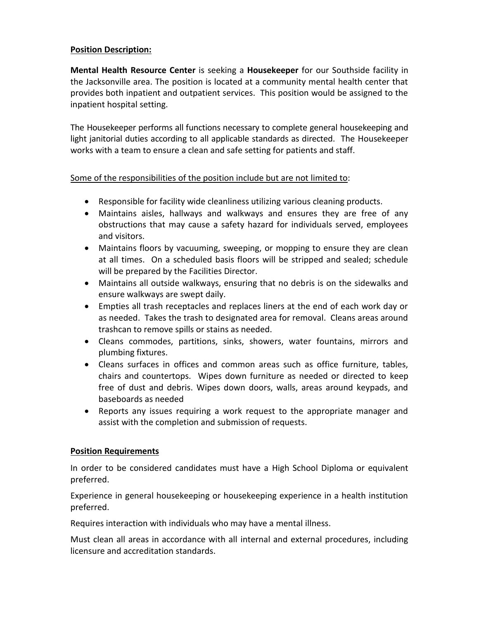# **Position Description:**

**Mental Health Resource Center** is seeking a **Housekeeper** for our Southside facility in the Jacksonville area. The position is located at a community mental health center that provides both inpatient and outpatient services. This position would be assigned to the inpatient hospital setting.

The Housekeeper performs all functions necessary to complete general housekeeping and light janitorial duties according to all applicable standards as directed. The Housekeeper works with a team to ensure a clean and safe setting for patients and staff.

# Some of the responsibilities of the position include but are not limited to:

- Responsible for facility wide cleanliness utilizing various cleaning products.
- Maintains aisles, hallways and walkways and ensures they are free of any obstructions that may cause a safety hazard for individuals served, employees and visitors.
- Maintains floors by vacuuming, sweeping, or mopping to ensure they are clean at all times. On a scheduled basis floors will be stripped and sealed; schedule will be prepared by the Facilities Director.
- Maintains all outside walkways, ensuring that no debris is on the sidewalks and ensure walkways are swept daily.
- Empties all trash receptacles and replaces liners at the end of each work day or as needed. Takes the trash to designated area for removal. Cleans areas around trashcan to remove spills or stains as needed.
- Cleans commodes, partitions, sinks, showers, water fountains, mirrors and plumbing fixtures.
- Cleans surfaces in offices and common areas such as office furniture, tables, chairs and countertops. Wipes down furniture as needed or directed to keep free of dust and debris. Wipes down doors, walls, areas around keypads, and baseboards as needed
- Reports any issues requiring a work request to the appropriate manager and assist with the completion and submission of requests.

#### **Position Requirements**

In order to be considered candidates must have a High School Diploma or equivalent preferred.

Experience in general housekeeping or housekeeping experience in a health institution preferred.

Requires interaction with individuals who may have a mental illness.

Must clean all areas in accordance with all internal and external procedures, including licensure and accreditation standards.